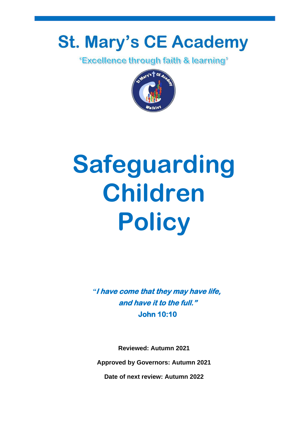# **St. Mary's CE Academy**

*'Excellence through faith & learning'* 



# **Safeguarding Children Policy**

*"***I have come that they may have life, and have it to the full." John 10:10** 

**Reviewed: Autumn 2021 Approved by Governors: Autumn 2021**

**Date of next review: Autumn 2022**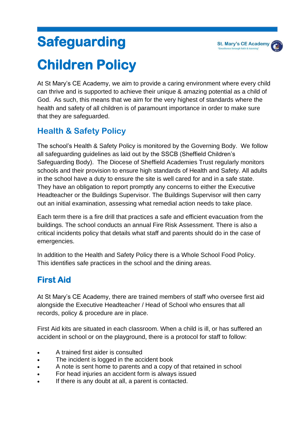At St Mary's CE Academy, we aim to provide a caring environment where every child can thrive and is supported to achieve their unique & amazing potential as a child of God. As such, this means that we aim for the very highest of standards where the health and safety of all children is of paramount importance in order to make sure that they are safeguarded.

# **Health & Safety Policy**

The school's Health & Safety Policy is monitored by the Governing Body. We follow all safeguarding guidelines as laid out by the SSCB (Sheffield Children's Safeguarding Body). The Diocese of Sheffield Academies Trust regularly monitors schools and their provision to ensure high standards of Health and Safety. All adults in the school have a duty to ensure the site is well cared for and in a safe state. They have an obligation to report promptly any concerns to either the Executive Headteacher or the Buildings Supervisor. The Buildings Supervisor will then carry out an initial examination, assessing what remedial action needs to take place.

Each term there is a fire drill that practices a safe and efficient evacuation from the buildings. The school conducts an annual Fire Risk Assessment. There is also a critical incidents policy that details what staff and parents should do in the case of emergencies.

In addition to the Health and Safety Policy there is a Whole School Food Policy. This identifies safe practices in the school and the dining areas.

# **First Aid**

At St Mary's CE Academy, there are trained members of staff who oversee first aid alongside the Executive Headteacher / Head of School who ensures that all records, policy & procedure are in place.

First Aid kits are situated in each classroom. When a child is ill, or has suffered an accident in school or on the playground, there is a protocol for staff to follow:

- A trained first aider is consulted
- The incident is logged in the accident book
- A note is sent home to parents and a copy of that retained in school
- For head injuries an accident form is always issued
- If there is any doubt at all, a parent is contacted.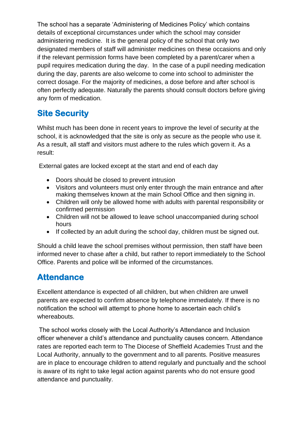The school has a separate 'Administering of Medicines Policy' which contains details of exceptional circumstances under which the school may consider administering medicine. It is the general policy of the school that only two designated members of staff will administer medicines on these occasions and only if the relevant permission forms have been completed by a parent/carer when a pupil requires medication during the day. In the case of a pupil needing medication during the day, parents are also welcome to come into school to administer the correct dosage. For the majority of medicines, a dose before and after school is often perfectly adequate. Naturally the parents should consult doctors before giving any form of medication.

# **Site Security**

Whilst much has been done in recent years to improve the level of security at the school, it is acknowledged that the site is only as secure as the people who use it. As a result, all staff and visitors must adhere to the rules which govern it. As a result:

External gates are locked except at the start and end of each day

- Doors should be closed to prevent intrusion
- Visitors and volunteers must only enter through the main entrance and after making themselves known at the main School Office and then signing in.
- Children will only be allowed home with adults with parental responsibility or confirmed permission
- Children will not be allowed to leave school unaccompanied during school hours
- If collected by an adult during the school day, children must be signed out.

Should a child leave the school premises without permission, then staff have been informed never to chase after a child, but rather to report immediately to the School Office. Parents and police will be informed of the circumstances.

# **Attendance**

Excellent attendance is expected of all children, but when children are unwell parents are expected to confirm absence by telephone immediately. If there is no notification the school will attempt to phone home to ascertain each child's whereabouts.

The school works closely with the Local Authority's Attendance and Inclusion officer whenever a child's attendance and punctuality causes concern. Attendance rates are reported each term to The Diocese of Sheffield Academies Trust and the Local Authority, annually to the government and to all parents. Positive measures are in place to encourage children to attend regularly and punctually and the school is aware of its right to take legal action against parents who do not ensure good attendance and punctuality.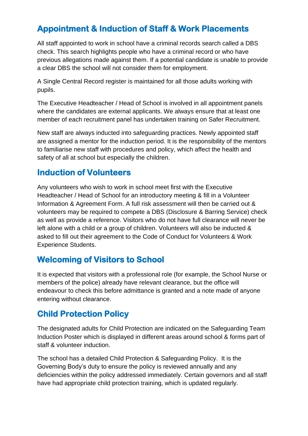# **Appointment & Induction of Staff & Work Placements**

All staff appointed to work in school have a criminal records search called a DBS check. This search highlights people who have a criminal record or who have previous allegations made against them. If a potential candidate is unable to provide a clear DBS the school will not consider them for employment.

A Single Central Record register is maintained for all those adults working with pupils.

The Executive Headteacher / Head of School is involved in all appointment panels where the candidates are external applicants. We always ensure that at least one member of each recruitment panel has undertaken training on Safer Recruitment.

New staff are always inducted into safeguarding practices. Newly appointed staff are assigned a mentor for the induction period. It is the responsibility of the mentors to familiarise new staff with procedures and policy, which affect the health and safety of all at school but especially the children.

#### **Induction of Volunteers**

Any volunteers who wish to work in school meet first with the Executive Headteacher / Head of School for an introductory meeting & fill in a Volunteer Information & Agreement Form. A full risk assessment will then be carried out & volunteers may be required to compete a DBS (Disclosure & Barring Service) check as well as provide a reference. Visitors who do not have full clearance will never be left alone with a child or a group of children. Volunteers will also be inducted & asked to fill out their agreement to the Code of Conduct for Volunteers & Work Experience Students.

# **Welcoming of Visitors to School**

It is expected that visitors with a professional role (for example, the School Nurse or members of the police) already have relevant clearance, but the office will endeavour to check this before admittance is granted and a note made of anyone entering without clearance.

#### **Child Protection Policy**

The designated adults for Child Protection are indicated on the Safeguarding Team Induction Poster which is displayed in different areas around school & forms part of staff & volunteer induction.

The school has a detailed Child Protection & Safeguarding Policy. It is the Governing Body's duty to ensure the policy is reviewed annually and any deficiencies within the policy addressed immediately. Certain governors and all staff have had appropriate child protection training, which is updated regularly.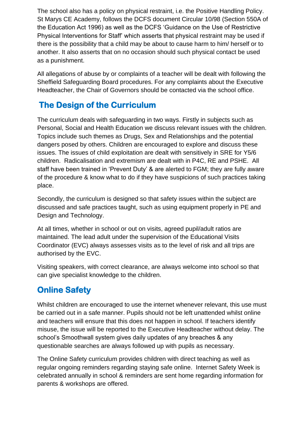The school also has a policy on physical restraint, i.e. the Positive Handling Policy. St Marys CE Academy, follows the DCFS document Circular 10/98 (Section 550A of the Education Act 1996) as well as the DCFS 'Guidance on the Use of Restrictive Physical Interventions for Staff' which asserts that physical restraint may be used if there is the possibility that a child may be about to cause harm to him/ herself or to another. It also asserts that on no occasion should such physical contact be used as a punishment.

All allegations of abuse by or complaints of a teacher will be dealt with following the Sheffield Safeguarding Board procedures. For any complaints about the Executive Headteacher, the Chair of Governors should be contacted via the school office.

# **The Design of the Curriculum**

The curriculum deals with safeguarding in two ways. Firstly in subjects such as Personal, Social and Health Education we discuss relevant issues with the children. Topics include such themes as Drugs, Sex and Relationships and the potential dangers posed by others. Children are encouraged to explore and discuss these issues. The issues of child exploitation are dealt with sensitively in SRE for Y5/6 children. Radicalisation and extremism are dealt with in P4C, RE and PSHE. All staff have been trained in 'Prevent Duty' & are alerted to FGM; they are fully aware of the procedure & know what to do if they have suspicions of such practices taking place.

Secondly, the curriculum is designed so that safety issues within the subject are discussed and safe practices taught, such as using equipment properly in PE and Design and Technology.

At all times, whether in school or out on visits, agreed pupil/adult ratios are maintained. The lead adult under the supervision of the Educational Visits Coordinator (EVC) always assesses visits as to the level of risk and all trips are authorised by the EVC.

Visiting speakers, with correct clearance, are always welcome into school so that can give specialist knowledge to the children.

# **Online Safety**

Whilst children are encouraged to use the internet whenever relevant, this use must be carried out in a safe manner. Pupils should not be left unattended whilst online and teachers will ensure that this does not happen in school. If teachers identify misuse, the issue will be reported to the Executive Headteacher without delay. The school's Smoothwall system gives daily updates of any breaches & any questionable searches are always followed up with pupils as necessary.

The Online Safety curriculum provides children with direct teaching as well as regular ongoing reminders regarding staying safe online. Internet Safety Week is celebrated annually in school & reminders are sent home regarding information for parents & workshops are offered.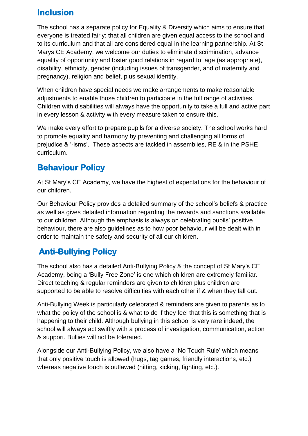#### **Inclusion**

The school has a separate policy for Equality & Diversity which aims to ensure that everyone is treated fairly; that all children are given equal access to the school and to its curriculum and that all are considered equal in the learning partnership. At St Marys CE Academy, we welcome our duties to eliminate discrimination, advance equality of opportunity and foster good relations in regard to: age (as appropriate), disability, ethnicity, gender (including issues of transgender, and of maternity and pregnancy), religion and belief, plus sexual identity.

When children have special needs we make arrangements to make reasonable adjustments to enable those children to participate in the full range of activities. Children with disabilities will always have the opportunity to take a full and active part in every lesson & activity with every measure taken to ensure this.

We make every effort to prepare pupils for a diverse society. The school works hard to promote equality and harmony by preventing and challenging all forms of prejudice & '-isms'. These aspects are tackled in assemblies, RE & in the PSHE curriculum.

# **Behaviour Policy**

At St Mary's CE Academy, we have the highest of expectations for the behaviour of our children.

Our Behaviour Policy provides a detailed summary of the school's beliefs & practice as well as gives detailed information regarding the rewards and sanctions available to our children. Although the emphasis is always on celebrating pupils' positive behaviour, there are also guidelines as to how poor behaviour will be dealt with in order to maintain the safety and security of all our children.

# **Anti-Bullying Policy**

The school also has a detailed Anti-Bullying Policy & the concept of St Mary's CE Academy, being a 'Bully Free Zone' is one which children are extremely familiar. Direct teaching & regular reminders are given to children plus children are supported to be able to resolve difficulties with each other if & when they fall out.

Anti-Bullying Week is particularly celebrated & reminders are given to parents as to what the policy of the school is & what to do if they feel that this is something that is happening to their child. Although bullying in this school is very rare indeed, the school will always act swiftly with a process of investigation, communication, action & support. Bullies will not be tolerated.

Alongside our Anti-Bullying Policy, we also have a 'No Touch Rule' which means that only positive touch is allowed (hugs, tag games, friendly interactions, etc.) whereas negative touch is outlawed (hitting, kicking, fighting, etc.).